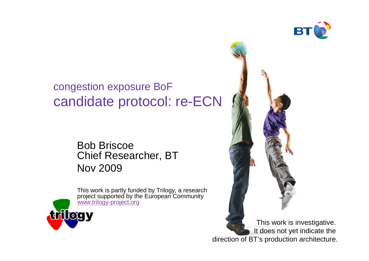

### congestion exposure BoFcandidate protocol: re-ECN

Bob BriscoeChief Researcher, BTNov 2009



This work is partly funded by Trilogy, a research project supported by the European Communitywww.trilogy-project.org

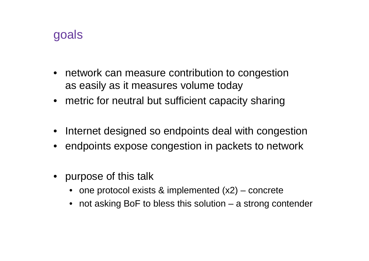### goals

- network can measure contribution to congestionas easily as it measures volume today
- metric for neutral but sufficient capacity sharing
- Internet designed so endpoints deal with congestion
- endpoints expose congestion in packets to network
- purpose of this talk
	- one protocol exists & implemented (x2) concrete
	- not asking BoF to bless this solution a strong contender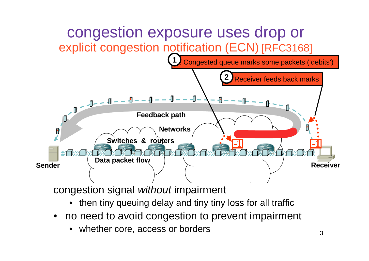

- •then tiny queuing delay and tiny tiny loss for all traffic
- no need to avoid congestion to prevent impairment
	- •whether core, access or borders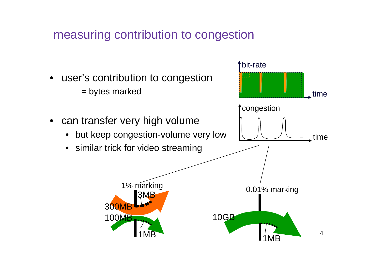measuring contribution to congestion

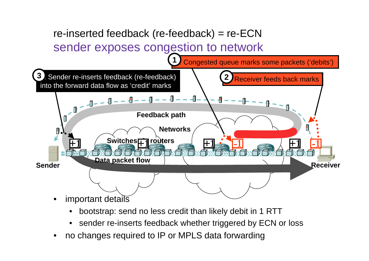### re-inserted feedback (re-feedback) = re-ECNsender exposes congestion to network



- •bootstrap: send no less credit than likely debit in 1 RTT
- •sender re-inserts feedback whether triggered by ECN or loss
- •no changes required to IP or MPLS data forwarding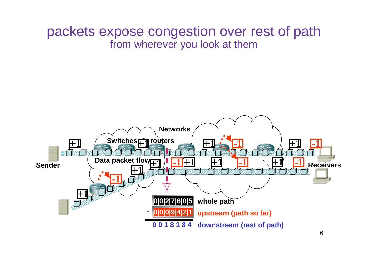### packets expose congestion over rest of path from wherever you look at them

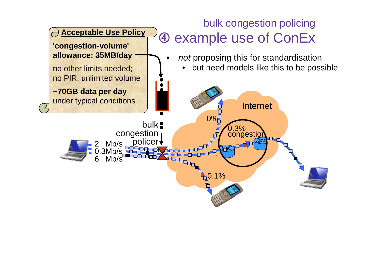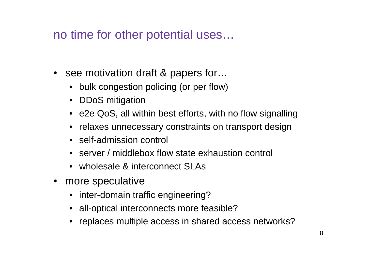no time for other potential uses…

- see motivation draft & papers for…
	- bulk congestion policing (or per flow)
	- DDoS mitigation
	- e2e QoS, all within best efforts, with no flow signalling
	- relaxes unnecessary constraints on transport design
	- self-admission control
	- server / middlebox flow state exhaustion control
	- wholesale & interconnect SLAs
- more speculative
	- inter-domain traffic engineering?
	- all-optical interconnects more feasible?
	- replaces multiple access in shared access networks?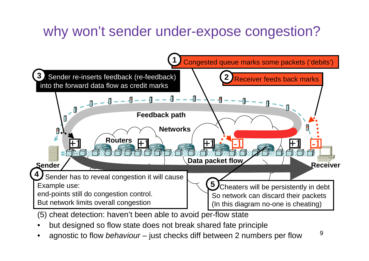## why won't sender under-expose congestion?



- (5) cheat detection: haven't been able to avoid per-flow state
- but designed so flow state does not break shared fate principle•
- 9 agnostic to flow behaviour – just checks diff between 2 numbers per flow•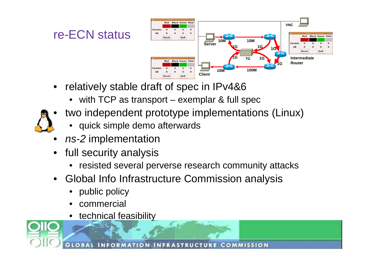## re-ECN status



- $\bullet$  relatively stable draft of spec in IPv4&6
	- with TCP as transport exemplar & full spec
- • two independent prototype implementations (Linux)
	- quick simple demo afterwards
- •• *ns-2* implementation
- full security analysis
	- resisted several perverse research community attacks
- • Global Info Infrastructure Commission analysis
	- •public policy
	- •commercial
	- technical feasibility

**COMMISSION** INFRASTRUCTURE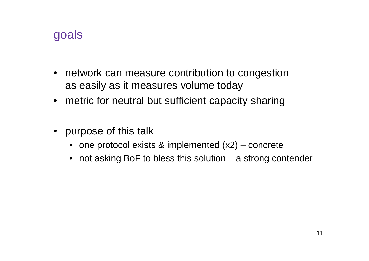### goals

- network can measure contribution to congestionas easily as it measures volume today
- metric for neutral but sufficient capacity sharing
- purpose of this talk
	- one protocol exists & implemented (x2) concrete
	- not asking BoF to bless this solution a strong contender